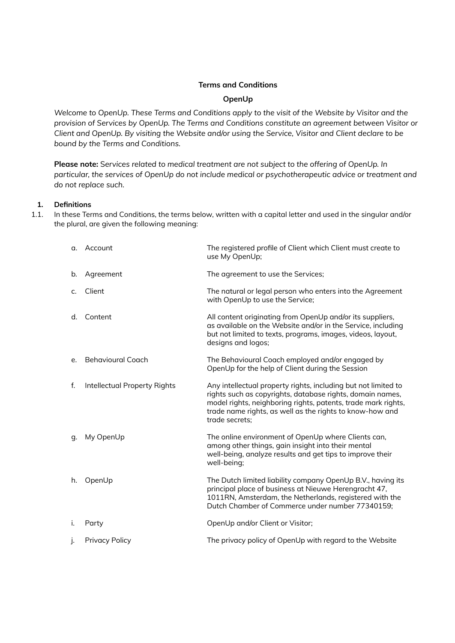### **Terms and Conditions**

### **OpenUp**

*Welcome to OpenUp. These Terms and Conditions apply to the visit of the Website by Visitor and the provision of Services by OpenUp. The Terms and Conditions constitute an agreement between Visitor or Client and OpenUp. By visiting the Website and/or using the Service, Visitor and Client declare to be bound by the Terms and Conditions.*

**Please note:** S*ervices related to medical treatment are not subject to the offering of OpenUp. In particular, the services of OpenUp do not include medical or psychotherapeutic advice or treatment and do not replace such.*

### **1. Definitions**

1.1. In these Terms and Conditions, the terms below, written with a capital letter and used in the singular and/or the plural, are given the following meaning:

| α.      | Account                      | The registered profile of Client which Client must create to<br>use My OpenUp;                                                                                                                                                                                             |
|---------|------------------------------|----------------------------------------------------------------------------------------------------------------------------------------------------------------------------------------------------------------------------------------------------------------------------|
| b.      | Agreement                    | The agreement to use the Services;                                                                                                                                                                                                                                         |
| $C_{r}$ | Client                       | The natural or legal person who enters into the Agreement<br>with OpenUp to use the Service;                                                                                                                                                                               |
| d.      | Content                      | All content originating from OpenUp and/or its suppliers,<br>as available on the Website and/or in the Service, including<br>but not limited to texts, programs, images, videos, layout,<br>designs and logos;                                                             |
| e.      | <b>Behavioural Coach</b>     | The Behavioural Coach employed and/or engaged by<br>OpenUp for the help of Client during the Session                                                                                                                                                                       |
| f.      | Intellectual Property Rights | Any intellectual property rights, including but not limited to<br>rights such as copyrights, database rights, domain names,<br>model rights, neighboring rights, patents, trade mark rights,<br>trade name rights, as well as the rights to know-how and<br>trade secrets: |
| q.      | My OpenUp                    | The online environment of OpenUp where Clients can,<br>among other things, gain insight into their mental<br>well-being, analyze results and get tips to improve their<br>well-being;                                                                                      |
| h.      | OpenUp                       | The Dutch limited liability company OpenUp B.V., having its<br>principal place of business at Nieuwe Herengracht 47,<br>1011RN, Amsterdam, the Netherlands, registered with the<br>Dutch Chamber of Commerce under number 77340159;                                        |
| j.      | Party                        | OpenUp and/or Client or Visitor;                                                                                                                                                                                                                                           |
| j.      | <b>Privacy Policy</b>        | The privacy policy of OpenUp with regard to the Website                                                                                                                                                                                                                    |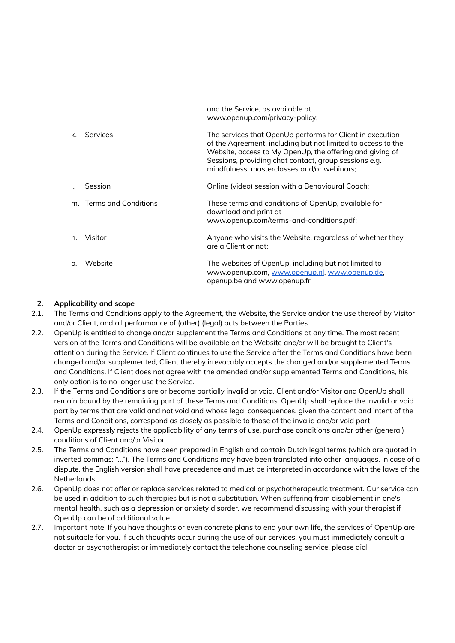|          |                         | www.openup.com/privacy-policy;                                                                                                                                                                                                                                                                |
|----------|-------------------------|-----------------------------------------------------------------------------------------------------------------------------------------------------------------------------------------------------------------------------------------------------------------------------------------------|
| k.       | Services                | The services that OpenUp performs for Client in execution<br>of the Agreement, including but not limited to access to the<br>Website, access to My OpenUp, the offering and giving of<br>Sessions, providing chat contact, group sessions e.g.<br>mindfulness, masterclasses and/or webinars; |
| I.       | Session                 | Online (video) session with a Behavioural Coach;                                                                                                                                                                                                                                              |
|          | m. Terms and Conditions | These terms and conditions of OpenUp, available for<br>download and print at<br>www.openup.com/terms-and-conditions.pdf;                                                                                                                                                                      |
| n.       | Visitor                 | Anyone who visits the Website, regardless of whether they<br>are a Client or not:                                                                                                                                                                                                             |
| $\Omega$ | Website                 | The websites of OpenUp, including but not limited to<br>www.openup.com, www.openup.nl, www.openup.de,<br>openup.be and www.openup.fr                                                                                                                                                          |

and the Service, as available at

## **2. Applicability and scope**

- 2.1. The Terms and Conditions apply to the Agreement, the Website, the Service and/or the use thereof by Visitor and/or Client, and all performance of (other) (legal) acts between the Parties..
- 2.2. OpenUp is entitled to change and/or supplement the Terms and Conditions at any time. The most recent version of the Terms and Conditions will be available on the Website and/or will be brought to Client's attention during the Service. If Client continues to use the Service after the Terms and Conditions have been changed and/or supplemented, Client thereby irrevocably accepts the changed and/or supplemented Terms and Conditions. If Client does not agree with the amended and/or supplemented Terms and Conditions, his only option is to no longer use the Service.
- 2.3. If the Terms and Conditions are or become partially invalid or void, Client and/or Visitor and OpenUp shall remain bound by the remaining part of these Terms and Conditions. OpenUp shall replace the invalid or void part by terms that are valid and not void and whose legal consequences, given the content and intent of the Terms and Conditions, correspond as closely as possible to those of the invalid and/or void part.
- 2.4. OpenUp expressly rejects the applicability of any terms of use, purchase conditions and/or other (general) conditions of Client and/or Visitor.
- 2.5. The Terms and Conditions have been prepared in English and contain Dutch legal terms (which are quoted in inverted commas: "..."). The Terms and Conditions may have been translated into other languages. In case of a dispute, the English version shall have precedence and must be interpreted in accordance with the laws of the Netherlands.
- 2.6. OpenUp does not offer or replace services related to medical or psychotherapeutic treatment. Our service can be used in addition to such therapies but is not a substitution. When suffering from disablement in one's mental health, such as a depression or anxiety disorder, we recommend discussing with your therapist if OpenUp can be of additional value.
- 2.7. Important note: If you have thoughts or even concrete plans to end your own life, the services of OpenUp are not suitable for you. If such thoughts occur during the use of our services, you must immediately consult a doctor or psychotherapist or immediately contact the telephone counseling service, please dial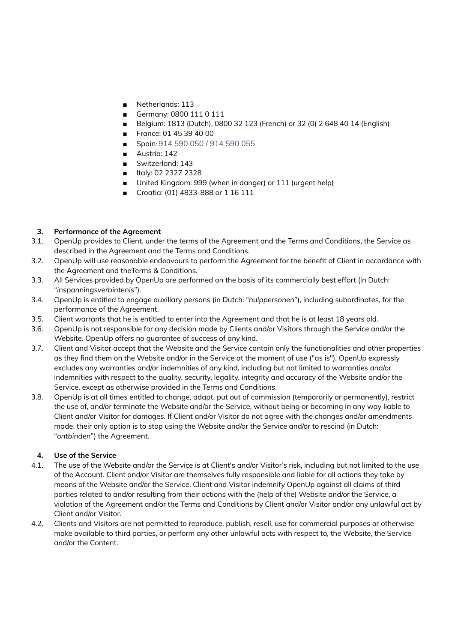- Netherlands: 113
- Germany: 0800 111 0 111
- Belgium: 1813 (Dutch), 0800 32 123 (French) or 32 (0) 2 648 40 14 (English)
- France: 01 45 39 40 00
- Spain: 914 590 050 / 914 590 055
- Austria: 142
- Switzerland: 143
- Italy: 02 2327 2328
- United Kingdom: 999 (when in danger) or 111 (urgent help)
- Croatia: (01) 4833-888 or 1 16 111

### **3. Performance of the Agreement**

- 3.1. OpenUp provides to Client, under the terms of the Agreement and the Terms and Conditions, the Service as described in the Agreement and the Terms and Conditions.
- 3.2. OpenUp will use reasonable endeavours to perform the Agreement for the benefit of Client in accordance with the Agreement and theTerms & Conditions.
- 3.3. All Services provided by OpenUp are performed on the basis of its commercially best effort (in Dutch: "*inspanningsverbintenis*").
- 3.4. OpenUp is entitled to engage auxiliary persons (in Dutch: "*hulppersonen*"), including subordinates, for the performance of the Agreement.
- 3.5. Client warrants that he is entitled to enter into the Agreement and that he is at least 18 years old.
- 3.6. OpenUp is not responsible for any decision made by Clients and/or Visitors through the Service and/or the Website. OpenUp offers no guarantee of success of any kind.
- 3.7. Client and Visitor accept that the Website and the Service contain only the functionalities and other properties as they find them on the Website and/or in the Service at the moment of use ("as is"). OpenUp expressly excludes any warranties and/or indemnities of any kind, including but not limited to warranties and/or indemnities with respect to the quality, security, legality, integrity and accuracy of the Website and/or the Service, except as otherwise provided in the Terms and Conditions.
- 3.8. OpenUp is at all times entitled to change, adapt, put out of commission (temporarily or permanently), restrict the use of, and/or terminate the Website and/or the Service, without being or becoming in any way liable to Client and/or Visitor for damages. If Client and/or Visitor do not agree with the changes and/or amendments made, their only option is to stop using the Website and/or the Service and/or to rescind (in Dutch: "*ontbinden*") the Agreement.

# **4. Use of the Service**

- 4.1. The use of the Website and/or the Service is at Client's and/or Visitor's risk, including but not limited to the use of the Account. Client and/or Visitor are themselves fully responsible and liable for all actions they take by means of the Website and/or the Service. Client and Visitor indemnify OpenUp against all claims of third parties related to and/or resulting from their actions with the (help of the) Website and/or the Service, a violation of the Agreement and/or the Terms and Conditions by Client and/or Visitor and/or any unlawful act by Client and/or Visitor.
- 4.2. Clients and Visitors are not permitted to reproduce, publish, resell, use for commercial purposes or otherwise make available to third parties, or perform any other unlawful acts with respect to, the Website, the Service and/or the Content.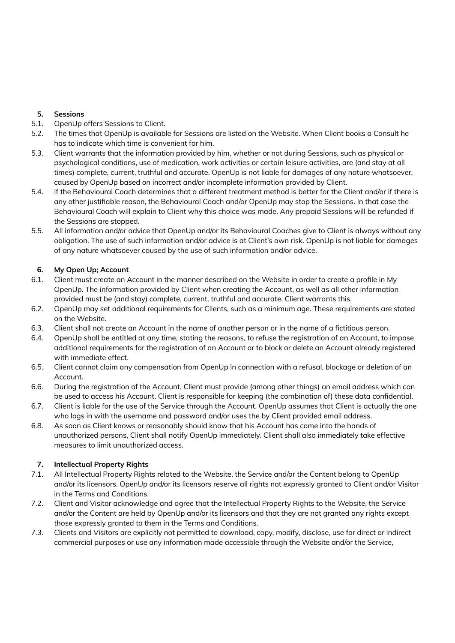# **5. Sessions**

- 5.1. OpenUp offers Sessions to Client.
- 5.2. The times that OpenUp is available for Sessions are listed on the Website. When Client books a Consult he has to indicate which time is convenient for him.
- 5.3. Client warrants that the information provided by him, whether or not during Sessions, such as physical or psychological conditions, use of medication, work activities or certain leisure activities, are (and stay at all times) complete, current, truthful and accurate. OpenUp is not liable for damages of any nature whatsoever, caused by OpenUp based on incorrect and/or incomplete information provided by Client.
- 5.4. If the Behavioural Coach determines that a different treatment method is better for the Client and/or if there is any other justifiable reason, the Behavioural Coach and/or OpenUp may stop the Sessions. In that case the Behavioural Coach will explain to Client why this choice was made. Any prepaid Sessions will be refunded if the Sessions are stopped.
- 5.5. All information and/or advice that OpenUp and/or its Behavioural Coaches give to Client is always without any obligation. The use of such information and/or advice is at Client's own risk. OpenUp is not liable for damages of any nature whatsoever caused by the use of such information and/or advice.

## **6. My Open Up; Account**

- 6.1. Client must create an Account in the manner described on the Website in order to create a profile in My OpenUp. The information provided by Client when creating the Account, as well as all other information provided must be (and stay) complete, current, truthful and accurate. Client warrants this.
- 6.2. OpenUp may set additional requirements for Clients, such as a minimum age. These requirements are stated on the Website.
- 6.3. Client shall not create an Account in the name of another person or in the name of a fictitious person.
- 6.4. OpenUp shall be entitled at any time, stating the reasons, to refuse the registration of an Account, to impose additional requirements for the registration of an Account or to block or delete an Account already registered with immediate effect.
- 6.5. Client cannot claim any compensation from OpenUp in connection with a refusal, blockage or deletion of an Account.
- 6.6. During the registration of the Account, Client must provide (among other things) an email address which can be used to access his Account. Client is responsible for keeping (the combination of) these data confidential.
- 6.7. Client is liable for the use of the Service through the Account. OpenUp assumes that Client is actually the one who logs in with the username and password and/or uses the by Client provided email address.
- 6.8. As soon as Client knows or reasonably should know that his Account has come into the hands of unauthorized persons, Client shall notify OpenUp immediately. Client shall also immediately take effective measures to limit unauthorized access.

### **7. Intellectual Property Rights**

- 7.1. All Intellectual Property Rights related to the Website, the Service and/or the Content belong to OpenUp and/or its licensors. OpenUp and/or its licensors reserve all rights not expressly granted to Client and/or Visitor in the Terms and Conditions.
- 7.2. Client and Visitor acknowledge and agree that the Intellectual Property Rights to the Website, the Service and/or the Content are held by OpenUp and/or its licensors and that they are not granted any rights except those expressly granted to them in the Terms and Conditions.
- 7.3. Clients and Visitors are explicitly not permitted to download, copy, modify, disclose, use for direct or indirect commercial purposes or use any information made accessible through the Website and/or the Service,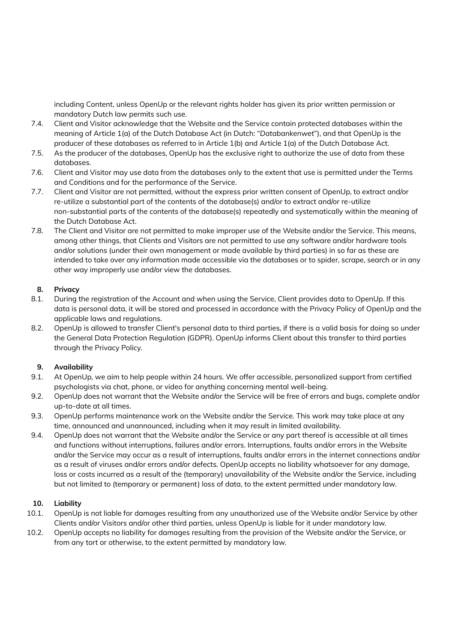including Content, unless OpenUp or the relevant rights holder has given its prior written permission or mandatory Dutch law permits such use.

- 7.4. Client and Visitor acknowledge that the Website and the Service contain protected databases within the meaning of Article 1(a) of the Dutch Database Act (in Dutch: "*Databankenwet*"), and that OpenUp is the producer of these databases as referred to in Article 1(b) and Article 1(a) of the Dutch Database Act.
- 7.5. As the producer of the databases, OpenUp has the exclusive right to authorize the use of data from these databases.
- 7.6. Client and Visitor may use data from the databases only to the extent that use is permitted under the Terms and Conditions and for the performance of the Service.
- 7.7. Client and Visitor are not permitted, without the express prior written consent of OpenUp, to extract and/or re-utilize a substantial part of the contents of the database(s) and/or to extract and/or re-utilize non-substantial parts of the contents of the database(s) repeatedly and systematically within the meaning of the Dutch Database Act.
- 7.8. The Client and Visitor are not permitted to make improper use of the Website and/or the Service. This means, among other things, that Clients and Visitors are not permitted to use any software and/or hardware tools and/or solutions (under their own management or made available by third parties) in so far as these are intended to take over any information made accessible via the databases or to spider, scrape, search or in any other way improperly use and/or view the databases.

## **8. Privacy**

- 8.1. During the registration of the Account and when using the Service, Client provides data to OpenUp. If this data is personal data, it will be stored and processed in accordance with the Privacy Policy of OpenUp and the applicable laws and regulations.
- 8.2. OpenUp is allowed to transfer Client's personal data to third parties, if there is a valid basis for doing so under the General Data Protection Regulation (GDPR). OpenUp informs Client about this transfer to third parties through the Privacy Policy.

### **9. Availability**

- 9.1. At OpenUp, we aim to help people within 24 hours. We offer accessible, personalized support from certified psychologists via chat, phone, or video for anything concerning mental well-being.
- 9.2. OpenUp does not warrant that the Website and/or the Service will be free of errors and bugs, complete and/or up-to-date at all times.
- 9.3. OpenUp performs maintenance work on the Website and/or the Service. This work may take place at any time, announced and unannounced, including when it may result in limited availability.
- 9.4. OpenUp does not warrant that the Website and/or the Service or any part thereof is accessible at all times and functions without interruptions, failures and/or errors. Interruptions, faults and/or errors in the Website and/or the Service may occur as a result of interruptions, faults and/or errors in the internet connections and/or as a result of viruses and/or errors and/or defects. OpenUp accepts no liability whatsoever for any damage, loss or costs incurred as a result of the (temporary) unavailability of the Website and/or the Service, including but not limited to (temporary or permanent) loss of data, to the extent permitted under mandatory law.

### **10. Liability**

- 10.1. OpenUp is not liable for damages resulting from any unauthorized use of the Website and/or Service by other Clients and/or Visitors and/or other third parties, unless OpenUp is liable for it under mandatory law.
- 10.2. OpenUp accepts no liability for damages resulting from the provision of the Website and/or the Service, or from any tort or otherwise, to the extent permitted by mandatory law.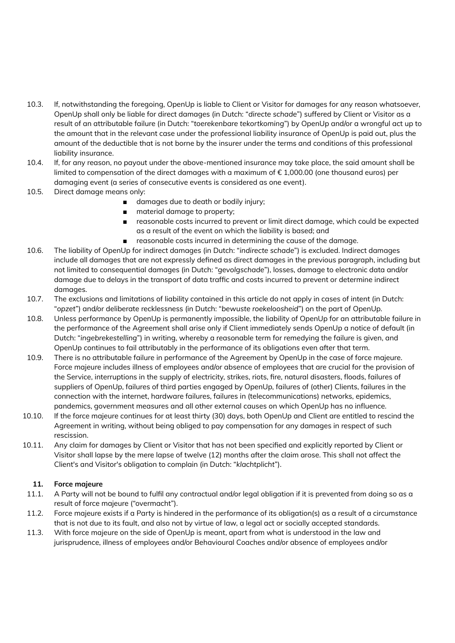- 10.3. If, notwithstanding the foregoing, OpenUp is liable to Client or Visitor for damages for any reason whatsoever, OpenUp shall only be liable for direct damages (in Dutch: "*directe schade*") suffered by Client or Visitor as a result of an attributable failure (in Dutch: "*toerekenbare tekortkoming*") by OpenUp and/or a wrongful act up to the amount that in the relevant case under the professional liability insurance of OpenUp is paid out, plus the amount of the deductible that is not borne by the insurer under the terms and conditions of this professional liability insurance.
- 10.4. If, for any reason, no payout under the above-mentioned insurance may take place, the said amount shall be limited to compensation of the direct damages with a maximum of  $\epsilon$  1,000.00 (one thousand euros) per damaging event (a series of consecutive events is considered as one event).
- 10.5. Direct damage means only:
	- damages due to death or bodily injury;
	- material damage to property;
	- reasonable costs incurred to prevent or limit direct damage, which could be expected as a result of the event on which the liability is based; and
	- reasonable costs incurred in determining the cause of the damage.
- 10.6. The liability of OpenUp for indirect damages (in Dutch: "*indirecte schade*") is excluded. Indirect damages include all damages that are not expressly defined as direct damages in the previous paragraph, including but not limited to consequential damages (in Dutch: "*gevolgschade*"), losses, damage to electronic data and/or damage due to delays in the transport of data traffic and costs incurred to prevent or determine indirect damages.
- 10.7. The exclusions and limitations of liability contained in this article do not apply in cases of intent (in Dutch: "*opzet*") and/or deliberate recklessness (in Dutch: "*bewuste roekeloosheid*") on the part of OpenUp.
- 10.8. Unless performance by OpenUp is permanently impossible, the liability of OpenUp for an attributable failure in the performance of the Agreement shall arise only if Client immediately sends OpenUp a notice of default (in Dutch: "*ingebrekestelling*") in writing, whereby a reasonable term for remedying the failure is given, and OpenUp continues to fail attributably in the performance of its obligations even after that term.
- 10.9. There is no attributable failure in performance of the Agreement by OpenUp in the case of force majeure. Force majeure includes illness of employees and/or absence of employees that are crucial for the provision of the Service, interruptions in the supply of electricity, strikes, riots, fire, natural disasters, floods, failures of suppliers of OpenUp, failures of third parties engaged by OpenUp, failures of (other) Clients, failures in the connection with the internet, hardware failures, failures in (telecommunications) networks, epidemics, pandemics, government measures and all other external causes on which OpenUp has no influence.
- 10.10. If the force majeure continues for at least thirty (30) days, both OpenUp and Client are entitled to rescind the Agreement in writing, without being obliged to pay compensation for any damages in respect of such rescission.
- 10.11. Any claim for damages by Client or Visitor that has not been specified and explicitly reported by Client or Visitor shall lapse by the mere lapse of twelve (12) months after the claim arose. This shall not affect the Client's and Visitor's obligation to complain (in Dutch: "*klachtplicht*").

### **11. Force majeure**

- 11.1. A Party will not be bound to fulfil any contractual and/or legal obligation if it is prevented from doing so as a result of force majeure ("overmacht").
- 11.2. Force majeure exists if a Party is hindered in the performance of its obligation(s) as a result of a circumstance that is not due to its fault, and also not by virtue of law, a legal act or socially accepted standards.
- 11.3. With force majeure on the side of OpenUp is meant, apart from what is understood in the law and jurisprudence, illness of employees and/or Behavioural Coaches and/or absence of employees and/or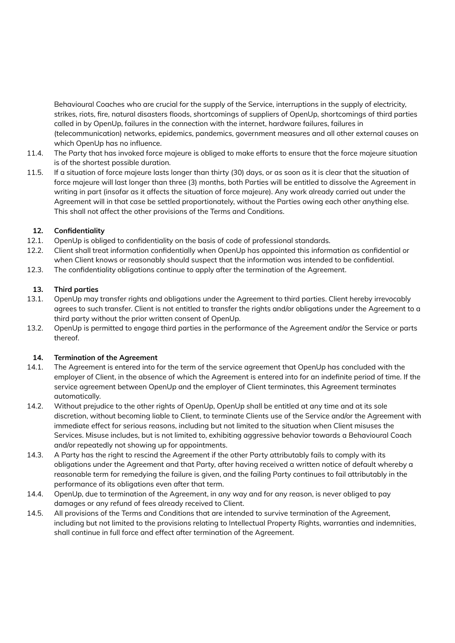Behavioural Coaches who are crucial for the supply of the Service, interruptions in the supply of electricity, strikes, riots, fire, natural disasters floods, shortcomings of suppliers of OpenUp, shortcomings of third parties called in by OpenUp, failures in the connection with the internet, hardware failures, failures in (telecommunication) networks, epidemics, pandemics, government measures and all other external causes on which OpenUp has no influence.

- 11.4. The Party that has invoked force majeure is obliged to make efforts to ensure that the force majeure situation is of the shortest possible duration.
- 11.5. If a situation of force majeure lasts longer than thirty (30) days, or as soon as it is clear that the situation of force majeure will last longer than three (3) months, both Parties will be entitled to dissolve the Agreement in writing in part (insofar as it affects the situation of force majeure). Any work already carried out under the Agreement will in that case be settled proportionately, without the Parties owing each other anything else. This shall not affect the other provisions of the Terms and Conditions.

## **12. Confidentiality**

- 12.1. OpenUp is obliged to confidentiality on the basis of code of professional standards.
- 12.2. Client shall treat information confidentially when OpenUp has appointed this information as confidential or when Client knows or reasonably should suspect that the information was intended to be confidential.
- 12.3. The confidentiality obligations continue to apply after the termination of the Agreement.

## **13. Third parties**

- 13.1. OpenUp may transfer rights and obligations under the Agreement to third parties. Client hereby irrevocably agrees to such transfer. Client is not entitled to transfer the rights and/or obligations under the Agreement to a third party without the prior written consent of OpenUp.
- 13.2. OpenUp is permitted to engage third parties in the performance of the Agreement and/or the Service or parts thereof.

### **14. Termination of the Agreement**

- 14.1. The Agreement is entered into for the term of the service agreement that OpenUp has concluded with the employer of Client, in the absence of which the Agreement is entered into for an indefinite period of time. If the service agreement between OpenUp and the employer of Client terminates, this Agreement terminates automatically.
- 14.2. Without prejudice to the other rights of OpenUp, OpenUp shall be entitled at any time and at its sole discretion, without becoming liable to Client, to terminate Clients use of the Service and/or the Agreement with immediate effect for serious reasons, including but not limited to the situation when Client misuses the Services. Misuse includes, but is not limited to, exhibiting aggressive behavior towards a Behavioural Coach and/or repeatedly not showing up for appointments.
- 14.3. A Party has the right to rescind the Agreement if the other Party attributably fails to comply with its obligations under the Agreement and that Party, after having received a written notice of default whereby a reasonable term for remedying the failure is given, and the failing Party continues to fail attributably in the performance of its obligations even after that term.
- 14.4. OpenUp, due to termination of the Agreement, in any way and for any reason, is never obliged to pay damages or any refund of fees already received to Client.
- 14.5. All provisions of the Terms and Conditions that are intended to survive termination of the Agreement, including but not limited to the provisions relating to Intellectual Property Rights, warranties and indemnities, shall continue in full force and effect after termination of the Agreement.